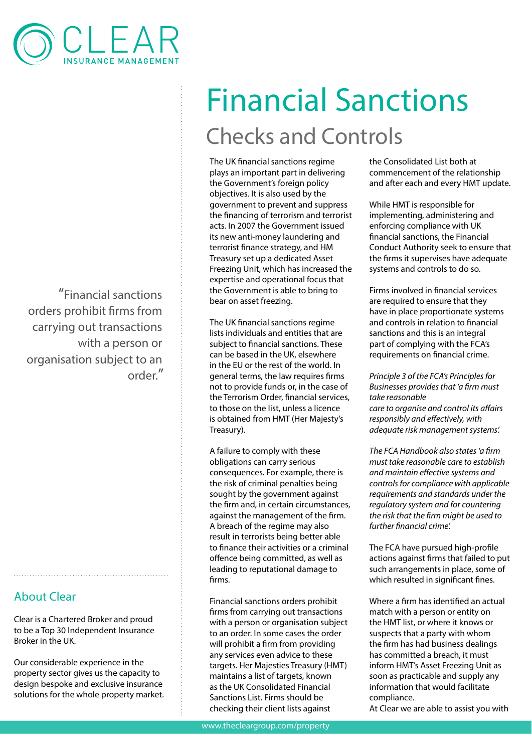

"Financial sanctions orders prohibit firms from carrying out transactions with a person or organisation subject to an order."

## About Clear

Clear is a Chartered Broker and proud to be a Top 30 Independent Insurance Broker in the UK.

Our considerable experience in the property sector gives us the capacity to design bespoke and exclusive insurance solutions for the whole property market.

## Financial Sanctions Checks and Controls

The UK financial sanctions regime plays an important part in delivering the Government's foreign policy objectives. It is also used by the government to prevent and suppress the financing of terrorism and terrorist acts. In 2007 the Government issued its new anti-money laundering and terrorist finance strategy, and HM Treasury set up a dedicated Asset Freezing Unit, which has increased the expertise and operational focus that the Government is able to bring to bear on asset freezing.

The UK financial sanctions regime lists individuals and entities that are subject to financial sanctions. These can be based in the UK, elsewhere in the EU or the rest of the world. In general terms, the law requires firms not to provide funds or, in the case of the Terrorism Order, financial services, to those on the list, unless a licence is obtained from HMT (Her Majesty's Treasury).

A failure to comply with these obligations can carry serious consequences. For example, there is the risk of criminal penalties being sought by the government against the firm and, in certain circumstances, against the management of the firm. A breach of the regime may also result in terrorists being better able to finance their activities or a criminal offence being committed, as well as leading to reputational damage to firms.

Financial sanctions orders prohibit firms from carrying out transactions with a person or organisation subject to an order. In some cases the order will prohibit a firm from providing any services even advice to these targets. Her Majesties Treasury (HMT) maintains a list of targets, known as the UK Consolidated Financial Sanctions List. Firms should be checking their client lists against

the Consolidated List both at commencement of the relationship and after each and every HMT update.

While HMT is responsible for implementing, administering and enforcing compliance with UK financial sanctions, the Financial Conduct Authority seek to ensure that the firms it supervises have adequate systems and controls to do so.

Firms involved in financial services are required to ensure that they have in place proportionate systems and controls in relation to financial sanctions and this is an integral part of complying with the FCA's requirements on financial crime.

*Principle 3 of the FCA's Principles for Businesses provides that 'a firm must take reasonable care to organise and control its affairs responsibly and effectively, with adequate risk management systems'.*

*The FCA Handbook also states 'a firm must take reasonable care to establish and maintain effective systems and controls for compliance with applicable requirements and standards under the regulatory system and for countering the risk that the firm might be used to further financial crime'.*

The FCA have pursued high-profile actions against firms that failed to put such arrangements in place, some of which resulted in significant fines.

Where a firm has identified an actual match with a person or entity on the HMT list, or where it knows or suspects that a party with whom the firm has had business dealings has committed a breach, it must inform HMT's Asset Freezing Unit as soon as practicable and supply any information that would facilitate compliance.

At Clear we are able to assist you with